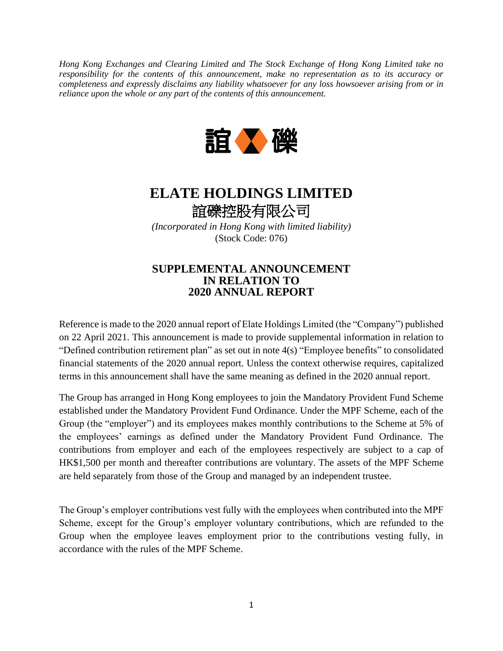*Hong Kong Exchanges and Clearing Limited and The Stock Exchange of Hong Kong Limited take no responsibility for the contents of this announcement, make no representation as to its accuracy or completeness and expressly disclaims any liability whatsoever for any loss howsoever arising from or in reliance upon the whole or any part of the contents of this announcement.*



## **ELATE HOLDINGS LIMITED** 誼礫控股有限公司

*(Incorporated in Hong Kong with limited liability)* (Stock Code: 076)

## **SUPPLEMENTAL ANNOUNCEMENT IN RELATION TO 2020 ANNUAL REPORT**

Reference is made to the 2020 annual report of Elate Holdings Limited (the "Company") published on 22 April 2021. This announcement is made to provide supplemental information in relation to "Defined contribution retirement plan" as set out in note 4(s) "Employee benefits" to consolidated financial statements of the 2020 annual report. Unless the context otherwise requires, capitalized terms in this announcement shall have the same meaning as defined in the 2020 annual report.

The Group has arranged in Hong Kong employees to join the Mandatory Provident Fund Scheme established under the Mandatory Provident Fund Ordinance. Under the MPF Scheme, each of the Group (the "employer") and its employees makes monthly contributions to the Scheme at 5% of the employees' earnings as defined under the Mandatory Provident Fund Ordinance. The contributions from employer and each of the employees respectively are subject to a cap of HK\$1,500 per month and thereafter contributions are voluntary. The assets of the MPF Scheme are held separately from those of the Group and managed by an independent trustee.

The Group's employer contributions vest fully with the employees when contributed into the MPF Scheme, except for the Group's employer voluntary contributions, which are refunded to the Group when the employee leaves employment prior to the contributions vesting fully, in accordance with the rules of the MPF Scheme.